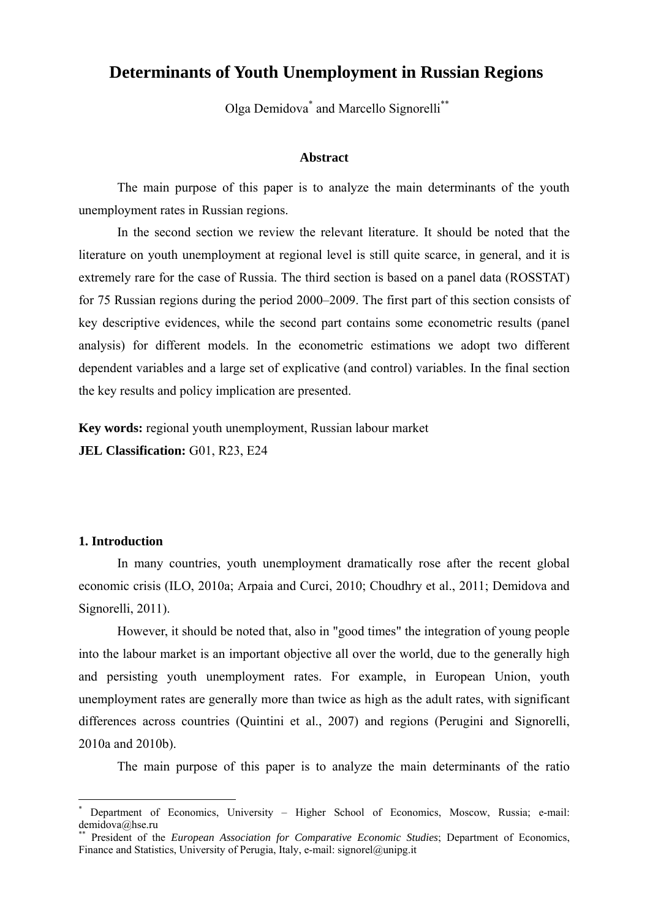# **Determinants of Youth Unemployment in Russian Regions**

Olga Demidova\* and Marcello Signorelli\*\*

#### **Abstract**

 The main purpose of this paper is to analyze the main determinants of the youth unemployment rates in Russian regions.

 In the second section we review the relevant literature. It should be noted that the literature on youth unemployment at regional level is still quite scarce, in general, and it is extremely rare for the case of Russia. The third section is based on a panel data (ROSSTAT) for 75 Russian regions during the period 2000–2009. The first part of this section consists of key descriptive evidences, while the second part contains some econometric results (panel analysis) for different models. In the econometric estimations we adopt two different dependent variables and a large set of explicative (and control) variables. In the final section the key results and policy implication are presented.

**Key words:** regional youth unemployment, Russian labour market **JEL Classification:** G01, R23, E24

#### **1. Introduction**

1

 In many countries, youth unemployment dramatically rose after the recent global economic crisis (ILO, 2010a; Arpaia and Curci, 2010; Choudhry et al., 2011; Demidova and Signorelli, 2011).

 However, it should be noted that, also in "good times" the integration of young people into the labour market is an important objective all over the world, due to the generally high and persisting youth unemployment rates. For example, in European Union, youth unemployment rates are generally more than twice as high as the adult rates, with significant differences across countries (Quintini et al., 2007) and regions (Perugini and Signorelli, 2010a and 2010b).

The main purpose of this paper is to analyze the main determinants of the ratio

<sup>\*</sup> Department of Economics, University – Higher School of Economics, Moscow, Russia; e-mail: demidova@hse.ru

President of the *European Association for Comparative Economic Studies*; Department of Economics, Finance and Statistics, University of Perugia, Italy, e-mail: signorel@unipg.it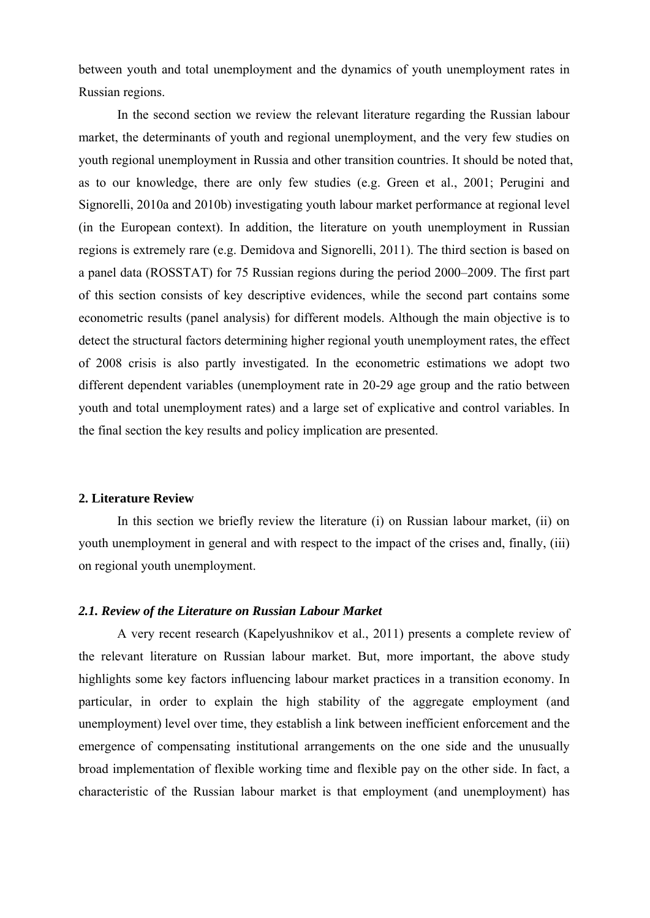between youth and total unemployment and the dynamics of youth unemployment rates in Russian regions.

 In the second section we review the relevant literature regarding the Russian labour market, the determinants of youth and regional unemployment, and the very few studies on youth regional unemployment in Russia and other transition countries. It should be noted that, as to our knowledge, there are only few studies (e.g. Green et al., 2001; Perugini and Signorelli, 2010a and 2010b) investigating youth labour market performance at regional level (in the European context). In addition, the literature on youth unemployment in Russian regions is extremely rare (e.g. Demidova and Signorelli, 2011). The third section is based on a panel data (ROSSTAT) for 75 Russian regions during the period 2000–2009. The first part of this section consists of key descriptive evidences, while the second part contains some econometric results (panel analysis) for different models. Although the main objective is to detect the structural factors determining higher regional youth unemployment rates, the effect of 2008 crisis is also partly investigated. In the econometric estimations we adopt two different dependent variables (unemployment rate in 20-29 age group and the ratio between youth and total unemployment rates) and a large set of explicative and control variables. In the final section the key results and policy implication are presented.

#### **2. Literature Review**

In this section we briefly review the literature (i) on Russian labour market, (ii) on youth unemployment in general and with respect to the impact of the crises and, finally, (iii) on regional youth unemployment.

#### *2.1. Review of the Literature on Russian Labour Market*

 A very recent research (Kapelyushnikov et al., 2011) presents a complete review of the relevant literature on Russian labour market. But, more important, the above study highlights some key factors influencing labour market practices in a transition economy. In particular, in order to explain the high stability of the aggregate employment (and unemployment) level over time, they establish a link between inefficient enforcement and the emergence of compensating institutional arrangements on the one side and the unusually broad implementation of flexible working time and flexible pay on the other side. In fact, a characteristic of the Russian labour market is that employment (and unemployment) has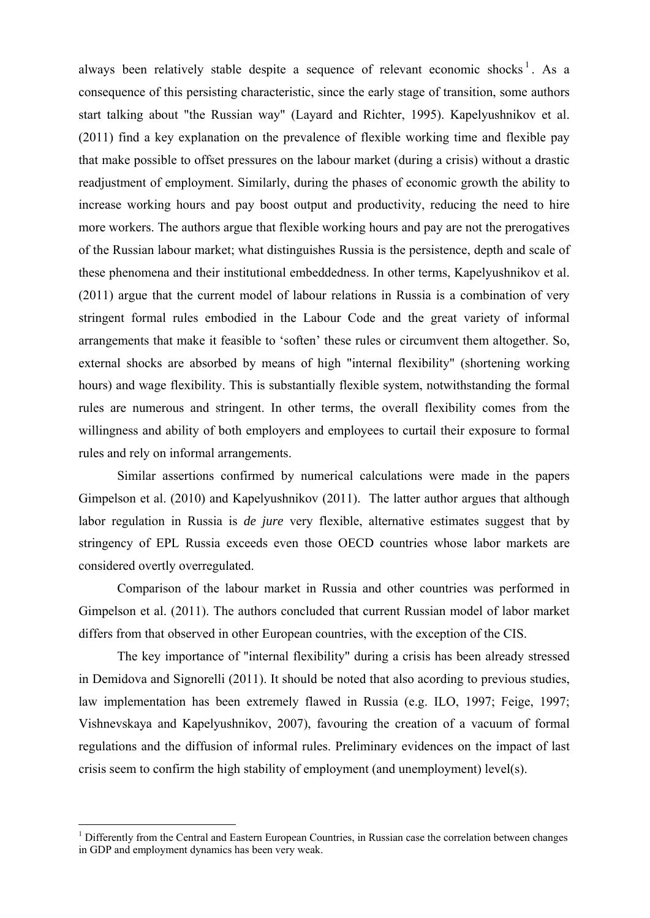always been relatively stable despite a sequence of relevant economic shocks<sup>1</sup>. As a consequence of this persisting characteristic, since the early stage of transition, some authors start talking about "the Russian way" (Layard and Richter, 1995). Kapelyushnikov et al. (2011) find a key explanation on the prevalence of flexible working time and flexible pay that make possible to offset pressures on the labour market (during a crisis) without a drastic readjustment of employment. Similarly, during the phases of economic growth the ability to increase working hours and pay boost output and productivity, reducing the need to hire more workers. The authors argue that flexible working hours and pay are not the prerogatives of the Russian labour market; what distinguishes Russia is the persistence, depth and scale of these phenomena and their institutional embeddedness. In other terms, Kapelyushnikov et al. (2011) argue that the current model of labour relations in Russia is a combination of very stringent formal rules embodied in the Labour Code and the great variety of informal arrangements that make it feasible to 'soften' these rules or circumvent them altogether. So, external shocks are absorbed by means of high "internal flexibility" (shortening working hours) and wage flexibility. This is substantially flexible system, notwithstanding the formal rules are numerous and stringent. In other terms, the overall flexibility comes from the willingness and ability of both employers and employees to curtail their exposure to formal rules and rely on informal arrangements.

 Similar assertions confirmed by numerical calculations were made in the papers Gimpelson et al. (2010) and Kapelyushnikov (2011). The latter author argues that although labor regulation in Russia is *de jure* very flexible, alternative estimates suggest that by stringency of EPL Russia exceeds even those OECD countries whose labor markets are considered overtly overregulated.

 Comparison of the labour market in Russia and other countries was performed in Gimpelson et al. (2011). The authors concluded that current Russian model of labor market differs from that observed in other European countries, with the exception of the CIS.

 The key importance of "internal flexibility" during a crisis has been already stressed in Demidova and Signorelli (2011). It should be noted that also acording to previous studies, law implementation has been extremely flawed in Russia (e.g. ILO, 1997; Feige, 1997; Vishnevskaya and Kapelyushnikov, 2007), favouring the creation of a vacuum of formal regulations and the diffusion of informal rules. Preliminary evidences on the impact of last crisis seem to confirm the high stability of employment (and unemployment) level(s).

<sup>&</sup>lt;sup>1</sup> Differently from the Central and Eastern European Countries, in Russian case the correlation between changes in GDP and employment dynamics has been very weak.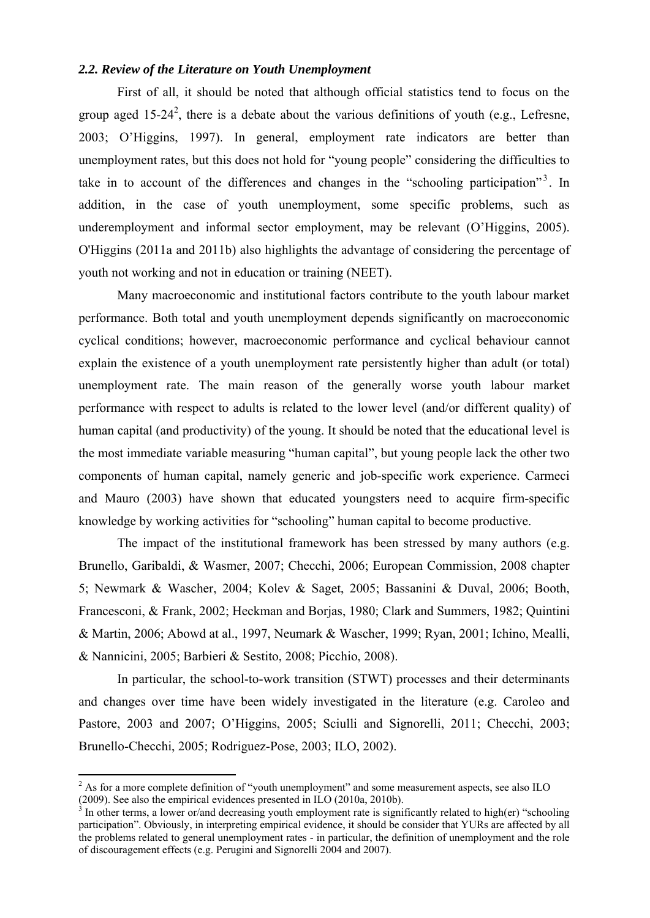# *2.2. Review of the Literature on Youth Unemployment*

 First of all, it should be noted that although official statistics tend to focus on the group aged 15-24<sup>2</sup>, there is a debate about the various definitions of youth (e.g., Lefresne, 2003; O'Higgins, 1997). In general, employment rate indicators are better than unemployment rates, but this does not hold for "young people" considering the difficulties to take in to account of the differences and changes in the "schooling participation"<sup>3</sup>. In addition, in the case of youth unemployment, some specific problems, such as underemployment and informal sector employment, may be relevant (O'Higgins, 2005). O'Higgins (2011a and 2011b) also highlights the advantage of considering the percentage of youth not working and not in education or training (NEET).

 Many macroeconomic and institutional factors contribute to the youth labour market performance. Both total and youth unemployment depends significantly on macroeconomic cyclical conditions; however, macroeconomic performance and cyclical behaviour cannot explain the existence of a youth unemployment rate persistently higher than adult (or total) unemployment rate. The main reason of the generally worse youth labour market performance with respect to adults is related to the lower level (and/or different quality) of human capital (and productivity) of the young. It should be noted that the educational level is the most immediate variable measuring "human capital", but young people lack the other two components of human capital, namely generic and job-specific work experience. Carmeci and Mauro (2003) have shown that educated youngsters need to acquire firm-specific knowledge by working activities for "schooling" human capital to become productive.

 The impact of the institutional framework has been stressed by many authors (e.g. Brunello, Garibaldi, & Wasmer, 2007; Checchi, 2006; European Commission, 2008 chapter 5; Newmark & Wascher, 2004; Kolev & Saget, 2005; Bassanini & Duval, 2006; Booth, Francesconi, & Frank, 2002; Heckman and Borjas, 1980; Clark and Summers, 1982; Quintini & Martin, 2006; Abowd at al., 1997, Neumark & Wascher, 1999; Ryan, 2001; Ichino, Mealli, & Nannicini, 2005; Barbieri & Sestito, 2008; Picchio, 2008).

 In particular, the school-to-work transition (STWT) processes and their determinants and changes over time have been widely investigated in the literature (e.g. Caroleo and Pastore, 2003 and 2007; O'Higgins, 2005; Sciulli and Signorelli, 2011; Checchi, 2003; Brunello-Checchi, 2005; Rodriguez-Pose, 2003; ILO, 2002).

<sup>&</sup>lt;sup>2</sup> As for a more complete definition of "youth unemployment" and some measurement aspects, see also ILO (2009). See also the empirical evidences presented in ILO (2010a, 2010b).<br><sup>3</sup> In other terms, a lower or/and decreasing youth employment rate is significantly related to high(er) "schooling

participation". Obviously, in interpreting empirical evidence, it should be consider that YURs are affected by all the problems related to general unemployment rates - in particular, the definition of unemployment and the role of discouragement effects (e.g. Perugini and Signorelli 2004 and 2007).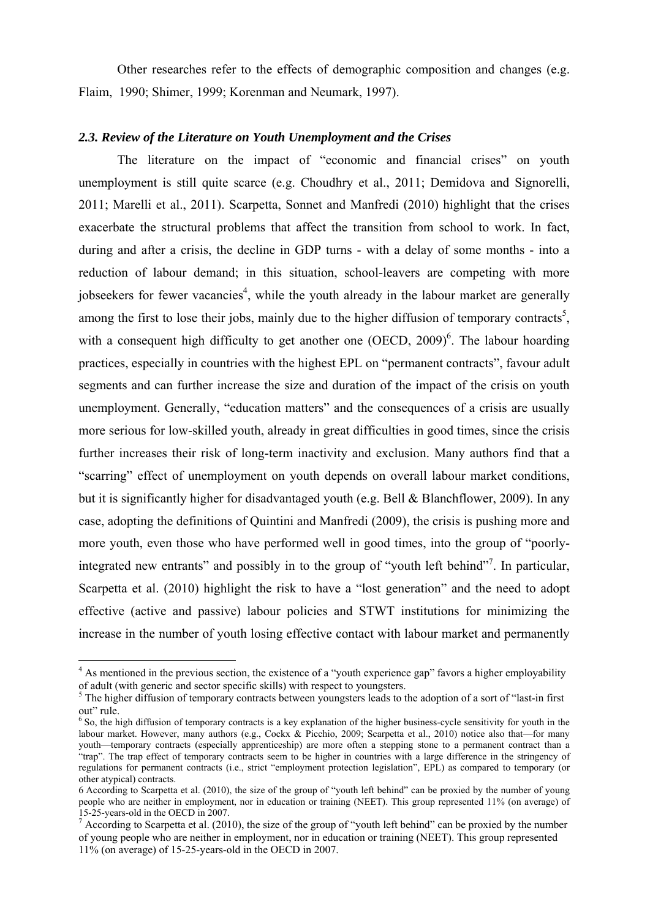Other researches refer to the effects of demographic composition and changes (e.g. Flaim, 1990; Shimer, 1999; Korenman and Neumark, 1997).

## *2.3. Review of the Literature on Youth Unemployment and the Crises*

 The literature on the impact of "economic and financial crises" on youth unemployment is still quite scarce (e.g. Choudhry et al., 2011; Demidova and Signorelli, 2011; Marelli et al., 2011). Scarpetta, Sonnet and Manfredi (2010) highlight that the crises exacerbate the structural problems that affect the transition from school to work. In fact, during and after a crisis, the decline in GDP turns - with a delay of some months - into a reduction of labour demand; in this situation, school-leavers are competing with more jobseekers for fewer vacancies<sup>4</sup>, while the youth already in the labour market are generally among the first to lose their jobs, mainly due to the higher diffusion of temporary contracts<sup>5</sup>, with a consequent high difficulty to get another one  $(OECD, 2009)^6$ . The labour hoarding practices, especially in countries with the highest EPL on "permanent contracts", favour adult segments and can further increase the size and duration of the impact of the crisis on youth unemployment. Generally, "education matters" and the consequences of a crisis are usually more serious for low-skilled youth, already in great difficulties in good times, since the crisis further increases their risk of long-term inactivity and exclusion. Many authors find that a "scarring" effect of unemployment on youth depends on overall labour market conditions, but it is significantly higher for disadvantaged youth (e.g. Bell & Blanchflower, 2009). In any case, adopting the definitions of Quintini and Manfredi (2009), the crisis is pushing more and more youth, even those who have performed well in good times, into the group of "poorlyintegrated new entrants" and possibly in to the group of "youth left behind"<sup>7</sup>. In particular, Scarpetta et al. (2010) highlight the risk to have a "lost generation" and the need to adopt effective (active and passive) labour policies and STWT institutions for minimizing the increase in the number of youth losing effective contact with labour market and permanently

<u>.</u>

<sup>&</sup>lt;sup>4</sup> As mentioned in the previous section, the existence of a "youth experience gap" favors a higher employability of adult (with generic and sector specific skills) with respect to youngsters.

<sup>&</sup>lt;sup>5</sup> The higher diffusion of temporary contracts between youngsters leads to the adoption of a sort of "last-in first out" rule.

<sup>&</sup>lt;sup>6</sup> So, the high diffusion of temporary contracts is a key explanation of the higher business-cycle sensitivity for youth in the labour market. However, many authors (e.g., Cockx & Picchio, 2009; Scarpetta et al., 2010) notice also that—for many youth—temporary contracts (especially apprenticeship) are more often a stepping stone to a permanent contract than a "trap". The trap effect of temporary contracts seem to be higher in countries with a large difference in the stringency of regulations for permanent contracts (i.e., strict "employment protection legislation", EPL) as compared to temporary (or other atypical) contracts.

<sup>6</sup> According to Scarpetta et al. (2010), the size of the group of "youth left behind" can be proxied by the number of young people who are neither in employment, nor in education or training (NEET). This group represented 11% (on average) of 15-25-years-old in the OECD in 2007.

<sup>&</sup>lt;sup>7</sup> According to Scarpetta et al. (2010), the size of the group of "youth left behind" can be proxied by the number of young people who are neither in employment, nor in education or training (NEET). This group represented 11% (on average) of 15-25-years-old in the OECD in 2007.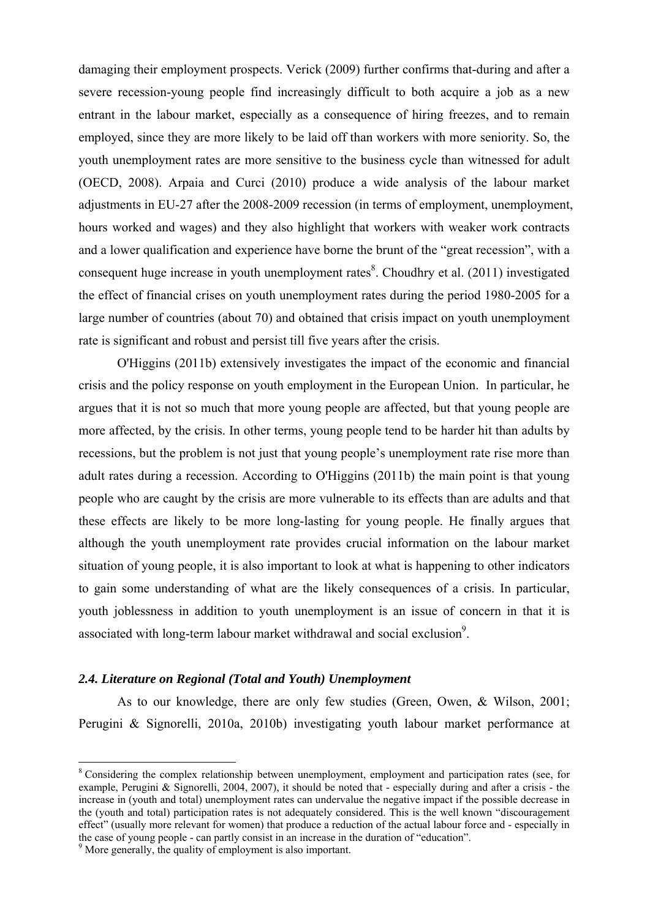damaging their employment prospects. Verick (2009) further confirms that-during and after a severe recession-young people find increasingly difficult to both acquire a job as a new entrant in the labour market, especially as a consequence of hiring freezes, and to remain employed, since they are more likely to be laid off than workers with more seniority. So, the youth unemployment rates are more sensitive to the business cycle than witnessed for adult (OECD, 2008). Arpaia and Curci (2010) produce a wide analysis of the labour market adjustments in EU-27 after the 2008-2009 recession (in terms of employment, unemployment, hours worked and wages) and they also highlight that workers with weaker work contracts and a lower qualification and experience have borne the brunt of the "great recession", with a consequent huge increase in youth unemployment rates $\delta$ . Choudhry et al. (2011) investigated the effect of financial crises on youth unemployment rates during the period 1980-2005 for a large number of countries (about 70) and obtained that crisis impact on youth unemployment rate is significant and robust and persist till five years after the crisis.

 O'Higgins (2011b) extensively investigates the impact of the economic and financial crisis and the policy response on youth employment in the European Union. In particular, he argues that it is not so much that more young people are affected, but that young people are more affected, by the crisis. In other terms, young people tend to be harder hit than adults by recessions, but the problem is not just that young people's unemployment rate rise more than adult rates during a recession. According to O'Higgins (2011b) the main point is that young people who are caught by the crisis are more vulnerable to its effects than are adults and that these effects are likely to be more long-lasting for young people. He finally argues that although the youth unemployment rate provides crucial information on the labour market situation of young people, it is also important to look at what is happening to other indicators to gain some understanding of what are the likely consequences of a crisis. In particular, youth joblessness in addition to youth unemployment is an issue of concern in that it is associated with long-term labour market withdrawal and social exclusion<sup>9</sup>.

# *2.4. Literature on Regional (Total and Youth) Unemployment*

 As to our knowledge, there are only few studies (Green, Owen, & Wilson, 2001; Perugini & Signorelli, 2010a, 2010b) investigating youth labour market performance at

1

<sup>&</sup>lt;sup>8</sup> Considering the complex relationship between unemployment, employment and participation rates (see, for example, Perugini & Signorelli, 2004, 2007), it should be noted that - especially during and after a crisis - the increase in (youth and total) unemployment rates can undervalue the negative impact if the possible decrease in the (youth and total) participation rates is not adequately considered. This is the well known "discouragement effect" (usually more relevant for women) that produce a reduction of the actual labour force and - especially in the case of young people - can partly consist in an increase in the duration of "education".

<sup>&</sup>lt;sup>9</sup> More generally, the quality of employment is also important.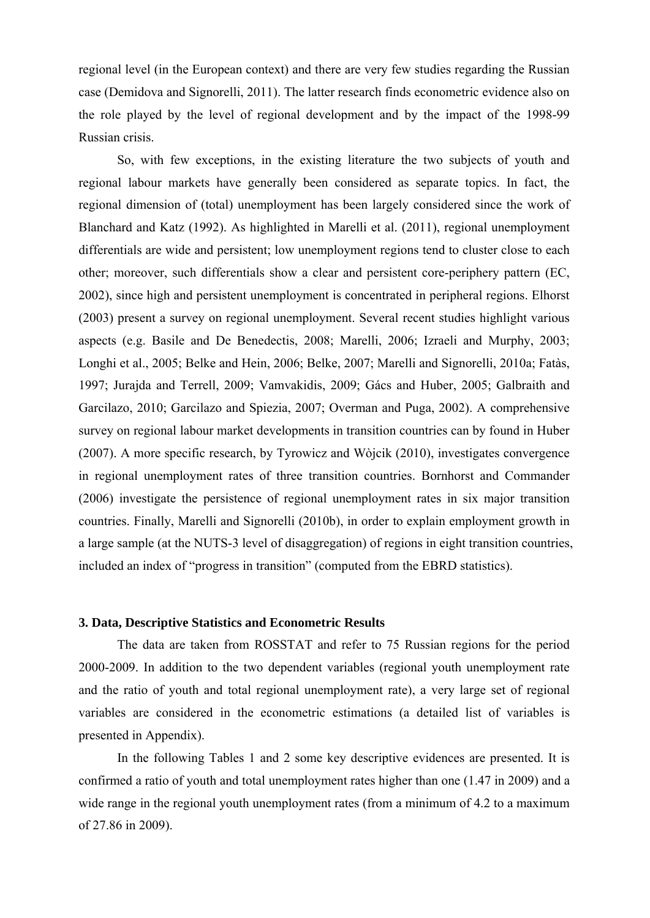regional level (in the European context) and there are very few studies regarding the Russian case (Demidova and Signorelli, 2011). The latter research finds econometric evidence also on the role played by the level of regional development and by the impact of the 1998-99 Russian crisis.

 So, with few exceptions, in the existing literature the two subjects of youth and regional labour markets have generally been considered as separate topics. In fact, the regional dimension of (total) unemployment has been largely considered since the work of Blanchard and Katz (1992). As highlighted in Marelli et al. (2011), regional unemployment differentials are wide and persistent; low unemployment regions tend to cluster close to each other; moreover, such differentials show a clear and persistent core-periphery pattern (EC, 2002), since high and persistent unemployment is concentrated in peripheral regions. Elhorst (2003) present a survey on regional unemployment. Several recent studies highlight various aspects (e.g. Basile and De Benedectis, 2008; Marelli, 2006; Izraeli and Murphy, 2003; Longhi et al., 2005; Belke and Hein, 2006; Belke, 2007; Marelli and Signorelli, 2010a; Fatàs, 1997; Jurajda and Terrell, 2009; Vamvakidis, 2009; Gács and Huber, 2005; Galbraith and Garcilazo, 2010; Garcilazo and Spiezia, 2007; Overman and Puga, 2002). A comprehensive survey on regional labour market developments in transition countries can by found in Huber (2007). A more specific research, by Tyrowicz and Wòjcik (2010), investigates convergence in regional unemployment rates of three transition countries. Bornhorst and Commander (2006) investigate the persistence of regional unemployment rates in six major transition countries. Finally, Marelli and Signorelli (2010b), in order to explain employment growth in a large sample (at the NUTS-3 level of disaggregation) of regions in eight transition countries, included an index of "progress in transition" (computed from the EBRD statistics).

# **3. Data, Descriptive Statistics and Econometric Results**

The data are taken from ROSSTAT and refer to 75 Russian regions for the period 2000-2009. In addition to the two dependent variables (regional youth unemployment rate and the ratio of youth and total regional unemployment rate), a very large set of regional variables are considered in the econometric estimations (a detailed list of variables is presented in Appendix).

 In the following Tables 1 and 2 some key descriptive evidences are presented. It is confirmed a ratio of youth and total unemployment rates higher than one (1.47 in 2009) and a wide range in the regional youth unemployment rates (from a minimum of 4.2 to a maximum of 27.86 in 2009).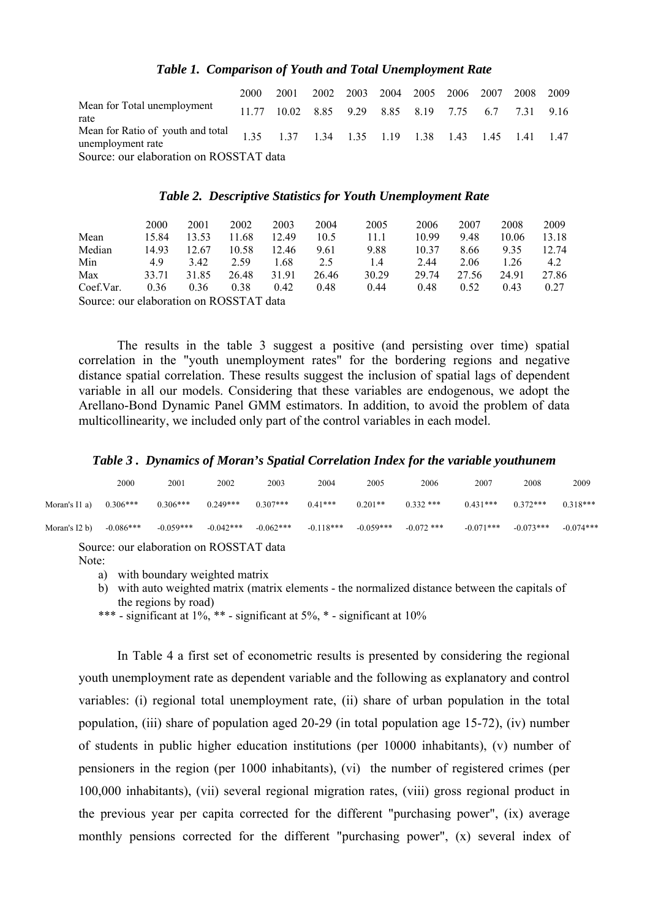#### Table 1. Comparison of Youth and Total Unemployment Rate

|                                                                                                          | 2000 | 2001 2002 2003 2004 2005 2006 2007 2008 2009       |  |  |  |  |  |  |
|----------------------------------------------------------------------------------------------------------|------|----------------------------------------------------|--|--|--|--|--|--|
| Mean for Total unemployment<br>rate                                                                      |      | 11.77 10.02 8.85 9.29 8.85 8.19 7.75 6.7 7.31 9.16 |  |  |  |  |  |  |
| Mean for Ratio of youth and total 1.35 1.37 1.34 1.35 1.19 1.38 1.43 1.45 1.41 1.47<br>unemployment rate |      |                                                    |  |  |  |  |  |  |
| Source: our elaboration on ROSSTAT data                                                                  |      |                                                    |  |  |  |  |  |  |

#### Table 2. Descriptive Statistics for Youth Unemployment Rate

|                                         | 2000  | 2001  | 2002  | 2003  | 2004  | 2005  | 2006  | 2007  | 2008  | 2009  |
|-----------------------------------------|-------|-------|-------|-------|-------|-------|-------|-------|-------|-------|
|                                         |       |       |       |       |       |       |       |       |       |       |
| Mean                                    | 15.84 | 13.53 | 11.68 | 12.49 | 10.5  | 11.1  | 10.99 | 9.48  | 10.06 | 13.18 |
| Median                                  | 14.93 | 12.67 | 10.58 | 12.46 | 9.61  | 9.88  | 10.37 | 8.66  | 9.35  | 12.74 |
| Min                                     | 4.9   | 3.42  | 2.59  | 1.68  | 2.5   | 1.4   | 2.44  | 2.06  | 1 26  | 4.2   |
| Max                                     | 33.71 | 31.85 | 26.48 | 31.91 | 26.46 | 30.29 | 29.74 | 27.56 | 24 91 | 27.86 |
| Coef.Var.                               | 0.36  | 0.36  | 0.38  | 0.42  | 0.48  | 0.44  | 0.48  | 0.52  | 0.43  | 0.27  |
| Source: our elaboration on ROSSTAT data |       |       |       |       |       |       |       |       |       |       |

The results in the table 3 suggest a positive (and persisting over time) spatial correlation in the "youth unemployment rates" for the bordering regions and negative distance spatial correlation. These results suggest the inclusion of spatial lags of dependent variable in all our models. Considering that these variables are endogenous, we adopt the Arellano-Bond Dynamic Panel GMM estimators. In addition, to avoid the problem of data multicollinearity, we included only part of the control variables in each model.

## Table 3. Dynamics of Moran's Spatial Correlation Index for the variable youthunem

|                                         | 2000        | 2001        | 2002        | 2003        | 2004        | 2005        | 2006         | 2007        | 2008        | 2009        |
|-----------------------------------------|-------------|-------------|-------------|-------------|-------------|-------------|--------------|-------------|-------------|-------------|
| Moran's $[1 a]$                         | $0.306***$  | $0.306***$  | $0.249***$  | $0.307***$  | $0.41***$   | $0.201**$   | $0.332$ ***  | $0.431***$  | $0.372***$  | $0.318***$  |
| Moran's $I2 b$                          | $-0.086***$ | $-0.059***$ | $-0.042***$ | $-0.062***$ | $-0.118***$ | $-0.059***$ | $-0.072$ *** | $-0.071***$ | $-0.073***$ | $-0.074***$ |
| Source: our elaboration on ROSSTAT data |             |             |             |             |             |             |              |             |             |             |

Note:

a) with boundary weighted matrix

b) with auto weighted matrix (matrix elements - the normalized distance between the capitals of the regions by road)

\*\*\* - significant at  $1\%$ , \*\* - significant at  $5\%$ , \* - significant at  $10\%$ 

In Table 4 a first set of econometric results is presented by considering the regional youth unemployment rate as dependent variable and the following as explanatory and control variables: (i) regional total unemployment rate, (ii) share of urban population in the total population, (iii) share of population aged 20-29 (in total population age 15-72), (iv) number of students in public higher education institutions (per 10000 inhabitants), (v) number of pensioners in the region (per 1000 inhabitants), (vi) the number of registered crimes (per 100,000 inhabitants), (vii) several regional migration rates, (viii) gross regional product in the previous year per capita corrected for the different "purchasing power", (ix) average monthly pensions corrected for the different "purchasing power", (x) several index of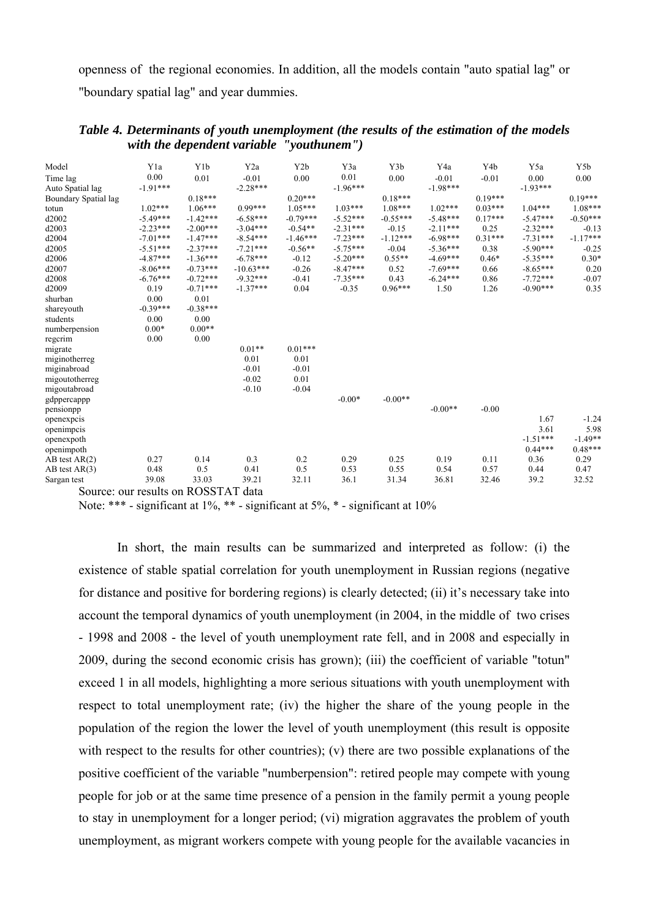openness of the regional economies. In addition, all the models contain "auto spatial lag" or "boundary spatial lag" and year dummies.

| Model                | Y1a        | Y <sub>1</sub> b | Y <sub>2</sub> a | Y2b        | Y3a        | Y3b        | Y4a        | Y4b       | Y5a        | Y5b        |
|----------------------|------------|------------------|------------------|------------|------------|------------|------------|-----------|------------|------------|
| Time lag             | 0.00       | 0.01             | $-0.01$          | 0.00       | 0.01       | 0.00       | $-0.01$    | $-0.01$   | 0.00       | 0.00       |
| Auto Spatial lag     | $-1.91***$ |                  | $-2.28***$       |            | $-1.96***$ |            | $-1.98***$ |           | $-1.93***$ |            |
| Boundary Spatial lag |            | $0.18***$        |                  | $0.20***$  |            | $0.18***$  |            | $0.19***$ |            | $0.19***$  |
| totun                | $1.02***$  | $1.06***$        | $0.99***$        | $1.05***$  | $1.03***$  | $1.08***$  | $1.02***$  | $0.03***$ | $1.04***$  | $1.08***$  |
| d2002                | $-5.49***$ | $-1.42***$       | $-6.58***$       | $-0.79***$ | $-5.52***$ | $-0.55***$ | $-5.48***$ | $0.17***$ | $-5.47***$ | $-0.50***$ |
| d2003                | $-2.23***$ | $-2.00***$       | $-3.04***$       | $-0.54**$  | $-2.31***$ | $-0.15$    | $-2.11***$ | 0.25      | $-2.32***$ | $-0.13$    |
| d2004                | $-7.01***$ | $-1.47***$       | $-8.54***$       | $-1.46***$ | $-7.23***$ | $-1.12***$ | $-6.98***$ | $0.31***$ | $-7.31***$ | $-1.17***$ |
| d2005                | $-5.51***$ | $-2.37***$       | $-7.21***$       | $-0.56**$  | $-5.75***$ | $-0.04$    | $-5.36***$ | 0.38      | $-5.90***$ | $-0.25$    |
| d2006                | $-4.87***$ | $-1.36***$       | $-6.78***$       | $-0.12$    | $-5.20***$ | $0.55**$   | $-4.69***$ | $0.46*$   | $-5.35***$ | $0.30*$    |
| d2007                | $-8.06***$ | $-0.73***$       | $-10.63***$      | $-0.26$    | $-8.47***$ | 0.52       | $-7.69***$ | 0.66      | $-8.65***$ | 0.20       |
| d2008                | $-6.76***$ | $-0.72***$       | $-9.32***$       | $-0.41$    | $-7.35***$ | 0.43       | $-6.24***$ | 0.86      | $-7.72***$ | $-0.07$    |
| d2009                | 0.19       | $-0.71***$       | $-1.37***$       | 0.04       | $-0.35$    | $0.96***$  | 1.50       | 1.26      | $-0.90***$ | 0.35       |
| shurban              | 0.00       | 0.01             |                  |            |            |            |            |           |            |            |
| shareyouth           | $-0.39***$ | $-0.38***$       |                  |            |            |            |            |           |            |            |
| students             | 0.00       | 0.00             |                  |            |            |            |            |           |            |            |
| numberpension        | $0.00*$    | $0.00**$         |                  |            |            |            |            |           |            |            |
| regcrim              | 0.00       | 0.00             |                  |            |            |            |            |           |            |            |
| migrate              |            |                  | $0.01**$         | $0.01***$  |            |            |            |           |            |            |
| miginotherreg        |            |                  | 0.01             | 0.01       |            |            |            |           |            |            |
| miginabroad          |            |                  | $-0.01$          | $-0.01$    |            |            |            |           |            |            |
| migoutotherreg       |            |                  | $-0.02$          | 0.01       |            |            |            |           |            |            |
| migoutabroad         |            |                  | $-0.10$          | $-0.04$    |            |            |            |           |            |            |
| gdppercappp          |            |                  |                  |            | $-0.00*$   | $-0.00**$  |            |           |            |            |
| pensionpp            |            |                  |                  |            |            |            | $-0.00**$  | $-0.00$   |            |            |
| openexpeis           |            |                  |                  |            |            |            |            |           | 1.67       | $-1.24$    |
| openimpcis           |            |                  |                  |            |            |            |            |           | 3.61       | 5.98       |
| openexpoth           |            |                  |                  |            |            |            |            |           | $-1.51***$ | $-1.49**$  |
| openimpoth           |            |                  |                  |            |            |            |            |           | $0.44***$  | $0.48***$  |
| $AB$ test $AR(2)$    | 0.27       | 0.14             | 0.3              | 0.2        | 0.29       | 0.25       | 0.19       | 0.11      | 0.36       | 0.29       |
| $AB$ test $AR(3)$    | 0.48       | 0.5              | 0.41             | 0.5        | 0.53       | 0.55       | 0.54       | 0.57      | 0.44       | 0.47       |
| Sargan test          | 39.08      | 33.03            | 39.21            | 32.11      | 36.1       | 31.34      | 36.81      | 32.46     | 39.2       | 32.52      |
|                      |            | $P^{\alpha}$     |                  |            |            |            |            |           |            |            |

# Table 4. Determinants of youth unemployment (the results of the estimation of the models with the dependent variable "youthunem")

Source: our results on ROSSTAT data

Note: \*\*\* - significant at  $1\%$ , \*\* - significant at  $5\%$ , \* - significant at  $10\%$ 

In short, the main results can be summarized and interpreted as follow: (i) the existence of stable spatial correlation for youth unemployment in Russian regions (negative for distance and positive for bordering regions) is clearly detected; (ii) it's necessary take into account the temporal dynamics of youth unemployment (in 2004, in the middle of two crises - 1998 and 2008 - the level of youth unemployment rate fell, and in 2008 and especially in 2009, during the second economic crisis has grown); (iii) the coefficient of variable "totun" exceed 1 in all models, highlighting a more serious situations with youth unemployment with respect to total unemployment rate; (iv) the higher the share of the young people in the population of the region the lower the level of youth unemployment (this result is opposite with respect to the results for other countries); (v) there are two possible explanations of the positive coefficient of the variable "numberpension": retired people may compete with young people for job or at the same time presence of a pension in the family permit a young people to stay in unemployment for a longer period; (vi) migration aggravates the problem of youth unemployment, as migrant workers compete with young people for the available vacancies in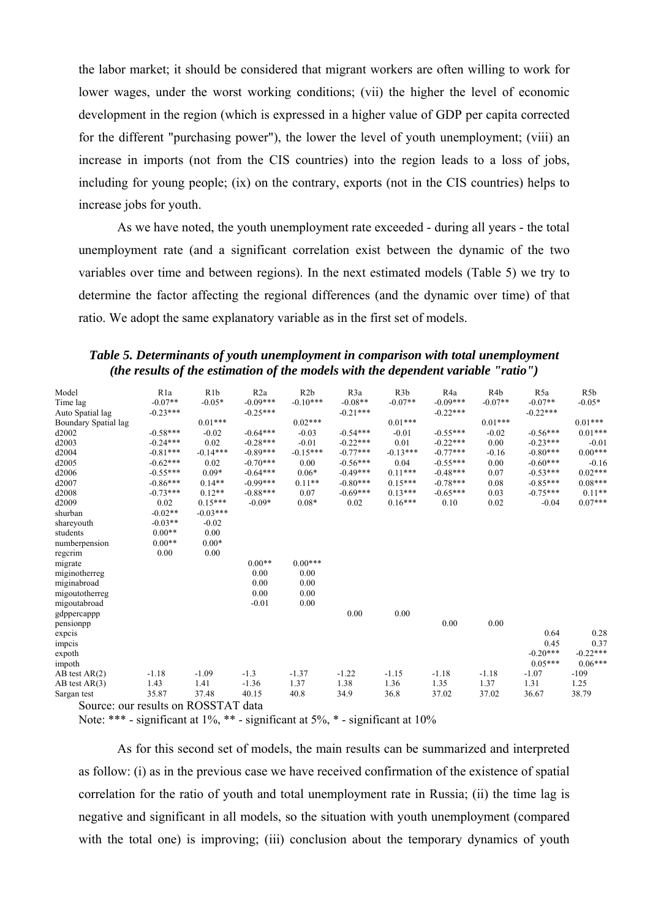the labor market; it should be considered that migrant workers are often willing to work for lower wages, under the worst working conditions; (vii) the higher the level of economic development in the region (which is expressed in a higher value of GDP per capita corrected for the different "purchasing power"), the lower the level of youth unemployment; (viii) an increase in imports (not from the CIS countries) into the region leads to a loss of jobs, including for young people; (ix) on the contrary, exports (not in the CIS countries) helps to increase jobs for youth.

As we have noted, the youth unemployment rate exceeded - during all years - the total unemployment rate (and a significant correlation exist between the dynamic of the two variables over time and between regions). In the next estimated models (Table 5) we try to determine the factor affecting the regional differences (and the dynamic over time) of that ratio. We adopt the same explanatory variable as in the first set of models.

Table 5. Determinants of youth unemployment in comparison with total unemployment (the results of the estimation of the models with the dependent variable "ratio")

| Model                | R <sub>1</sub> a | R1b                         | R2a        | R2b        | R <sub>3</sub> a | R3b        | R <sub>4</sub> a | R <sub>4</sub> b | R <sub>5</sub> a | R <sub>5</sub> b |
|----------------------|------------------|-----------------------------|------------|------------|------------------|------------|------------------|------------------|------------------|------------------|
| Time lag             | $-0.07**$        | $-0.05*$                    | $-0.09***$ | $-0.10***$ | $-0.08**$        | $-0.07**$  | $-0.09***$       | $-0.07**$        | $-0.07**$        | $-0.05*$         |
| Auto Spatial lag     | $-0.23***$       |                             | $-0.25***$ |            | $-0.21***$       |            | $-0.22***$       |                  | $-0.22***$       |                  |
| Boundary Spatial lag |                  | $0.01***$                   |            | $0.02***$  |                  | $0.01***$  |                  | $0.01***$        |                  | $0.01***$        |
| d2002                | $-0.58***$       | $-0.02$                     | $-0.64***$ | $-0.03$    | $-0.54***$       | $-0.01$    | $-0.55***$       | $-0.02$          | $-0.56***$       | $0.01***$        |
| d2003                | $-0.24***$       | 0.02                        | $-0.28***$ | $-0.01$    | $-0.22***$       | 0.01       | $-0.22***$       | 0.00             | $-0.23***$       | $-0.01$          |
| d2004                | $-0.81***$       | $-0.14***$                  | $-0.89***$ | $-0.15***$ | $-0.77***$       | $-0.13***$ | $-0.77***$       | $-0.16$          | $-0.80***$       | $0.00***$        |
| d2005                | $-0.62***$       | 0.02                        | $-0.70***$ | 0.00       | $-0.56***$       | 0.04       | $-0.55***$       | 0.00             | $-0.60***$       | $-0.16$          |
| d2006                | $-0.55***$       | $0.09*$                     | $-0.64***$ | $0.06*$    | $-0.49***$       | $0.11***$  | $-0.48***$       | 0.07             | $-0.53***$       | $0.02***$        |
| d2007                | $-0.86***$       | $0.14**$                    | $-0.99***$ | $0.11**$   | $-0.80***$       | $0.15***$  | $-0.78***$       | 0.08             | $-0.85***$       | $0.08***$        |
| d2008                | $-0.73***$       | $0.12**$                    | $-0.88***$ | 0.07       | $-0.69***$       | $0.13***$  | $-0.65***$       | 0.03             | $-0.75***$       | $0.11**$         |
| d2009                | 0.02             | $0.15***$                   | $-0.09*$   | $0.08*$    | 0.02             | $0.16***$  | 0.10             | 0.02             | $-0.04$          | $0.07***$        |
| shurban              | $-0.02**$        | $-0.03***$                  |            |            |                  |            |                  |                  |                  |                  |
| shareyouth           | $-0.03**$        | $-0.02$                     |            |            |                  |            |                  |                  |                  |                  |
| students             | $0.00**$         | 0.00                        |            |            |                  |            |                  |                  |                  |                  |
| numberpension        | $0.00**$         | $0.00*$                     |            |            |                  |            |                  |                  |                  |                  |
| regcrim              | 0.00             | 0.00                        |            |            |                  |            |                  |                  |                  |                  |
| migrate              |                  |                             | $0.00**$   | $0.00***$  |                  |            |                  |                  |                  |                  |
| miginotherreg        |                  |                             | 0.00       | 0.00       |                  |            |                  |                  |                  |                  |
| miginabroad          |                  |                             | 0.00       | 0.00       |                  |            |                  |                  |                  |                  |
| migoutotherreg       |                  |                             | 0.00       | 0.00       |                  |            |                  |                  |                  |                  |
| migoutabroad         |                  |                             | $-0.01$    | 0.00       |                  |            |                  |                  |                  |                  |
| gdppercappp          |                  |                             |            |            | 0.00             | 0.00       |                  |                  |                  |                  |
| pensionpp            |                  |                             |            |            |                  |            | 0.00             | 0.00             |                  |                  |
| expcis               |                  |                             |            |            |                  |            |                  |                  | 0.64             | 0.28             |
| impcis               |                  |                             |            |            |                  |            |                  |                  | 0.45             | 0.37             |
| expoth               |                  |                             |            |            |                  |            |                  |                  | $-0.20***$       | $-0.22***$       |
| impoth               |                  |                             |            |            |                  |            |                  |                  | $0.05***$        | $0.06***$        |
| $AB$ test $AR(2)$    | $-1.18$          | $-1.09$                     | $-1.3$     | $-1.37$    | $-1.22$          | $-1.15$    | $-1.18$          | $-1.18$          | $-1.07$          | $-109$           |
| $AB$ test $AR(3)$    | 1.43             | 1.41                        | $-1.36$    | 1.37       | 1.38             | 1.36       | 1.35             | 1.37             | 1.31             | 1.25             |
| Sargan test          | 35.87            | 37.48                       | 40.15      | 40.8       | 34.9             | 36.8       | 37.02            | 37.02            | 36.67            | 38.79            |
|                      |                  | $\sim$ $\sim$ $\sim$ $\sim$ |            |            |                  |            |                  |                  |                  |                  |

Source: our results on ROSSTAT data

Note: \*\*\* - significant at  $1\%$ , \*\* - significant at  $5\%$ , \* - significant at  $10\%$ 

As for this second set of models, the main results can be summarized and interpreted as follow: (i) as in the previous case we have received confirmation of the existence of spatial correlation for the ratio of youth and total unemployment rate in Russia; (ii) the time lag is negative and significant in all models, so the situation with youth unemployment (compared with the total one) is improving; (iii) conclusion about the temporary dynamics of youth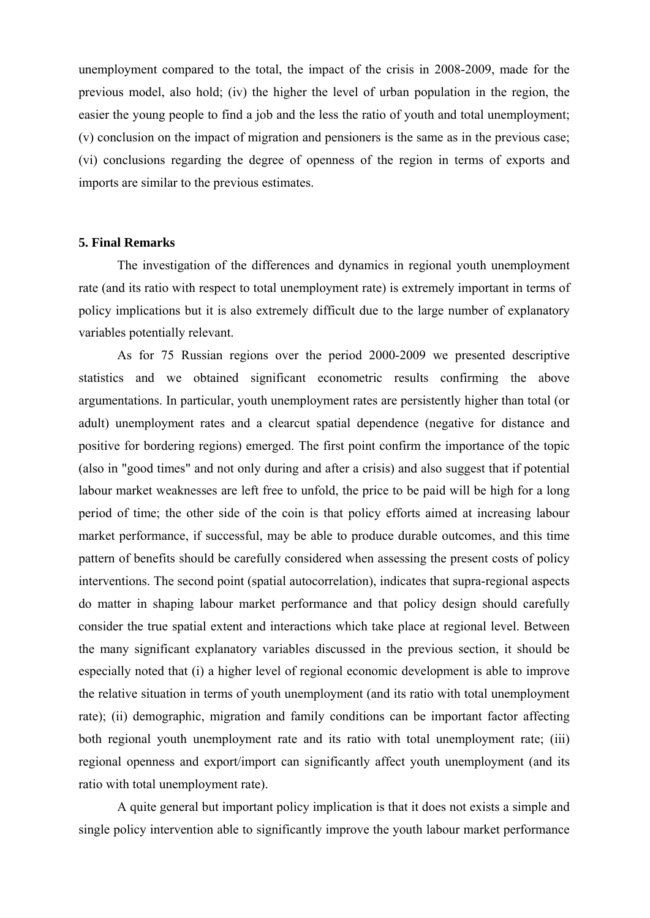unemployment compared to the total, the impact of the crisis in 2008-2009, made for the previous model, also hold; (iv) the higher the level of urban population in the region, the easier the young people to find a job and the less the ratio of youth and total unemployment; (v) conclusion on the impact of migration and pensioners is the same as in the previous case; (vi) conclusions regarding the degree of openness of the region in terms of exports and imports are similar to the previous estimates.

#### **5. Final Remarks**

 The investigation of the differences and dynamics in regional youth unemployment rate (and its ratio with respect to total unemployment rate) is extremely important in terms of policy implications but it is also extremely difficult due to the large number of explanatory variables potentially relevant.

 As for 75 Russian regions over the period 2000-2009 we presented descriptive statistics and we obtained significant econometric results confirming the above argumentations. In particular, youth unemployment rates are persistently higher than total (or adult) unemployment rates and a clearcut spatial dependence (negative for distance and positive for bordering regions) emerged. The first point confirm the importance of the topic (also in "good times" and not only during and after a crisis) and also suggest that if potential labour market weaknesses are left free to unfold, the price to be paid will be high for a long period of time; the other side of the coin is that policy efforts aimed at increasing labour market performance, if successful, may be able to produce durable outcomes, and this time pattern of benefits should be carefully considered when assessing the present costs of policy interventions. The second point (spatial autocorrelation), indicates that supra-regional aspects do matter in shaping labour market performance and that policy design should carefully consider the true spatial extent and interactions which take place at regional level. Between the many significant explanatory variables discussed in the previous section, it should be especially noted that (i) a higher level of regional economic development is able to improve the relative situation in terms of youth unemployment (and its ratio with total unemployment rate); (ii) demographic, migration and family conditions can be important factor affecting both regional youth unemployment rate and its ratio with total unemployment rate; (iii) regional openness and export/import can significantly affect youth unemployment (and its ratio with total unemployment rate).

 A quite general but important policy implication is that it does not exists a simple and single policy intervention able to significantly improve the youth labour market performance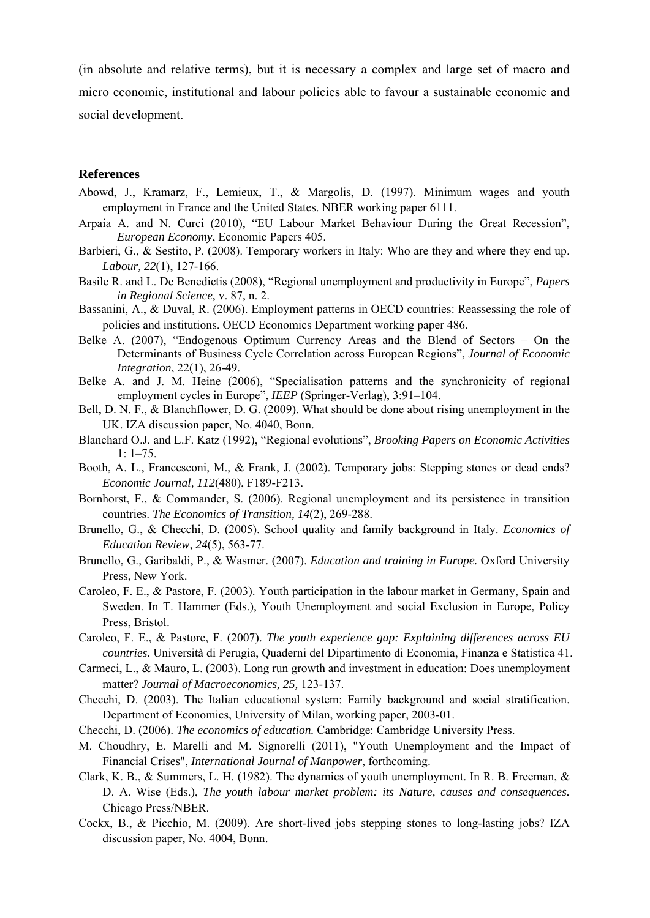(in absolute and relative terms), but it is necessary a complex and large set of macro and micro economic, institutional and labour policies able to favour a sustainable economic and social development.

#### **References**

- Abowd, J., Kramarz, F., Lemieux, T., & Margolis, D. (1997). Minimum wages and youth employment in France and the United States. NBER working paper 6111.
- Arpaia A. and N. Curci (2010), "EU Labour Market Behaviour During the Great Recession", *European Economy*, Economic Papers 405.
- Barbieri, G., & Sestito, P. (2008). Temporary workers in Italy: Who are they and where they end up. *Labour, 22*(1), 127-166.
- Basile R. and L. De Benedictis (2008), "Regional unemployment and productivity in Europe", *Papers in Regional Science*, v. 87, n. 2.
- Bassanini, A., & Duval, R. (2006). Employment patterns in OECD countries: Reassessing the role of policies and institutions. OECD Economics Department working paper 486.
- Belke A. (2007), "Endogenous Optimum Currency Areas and the Blend of Sectors On the Determinants of Business Cycle Correlation across European Regions", *Journal of Economic Integration*, 22(1), 26-49.
- Belke A. and J. M. Heine (2006), "Specialisation patterns and the synchronicity of regional employment cycles in Europe", *IEEP* (Springer-Verlag), 3:91–104.
- Bell, D. N. F., & Blanchflower, D. G. (2009). What should be done about rising unemployment in the UK. IZA discussion paper, No. 4040, Bonn.
- Blanchard O.J. and L.F. Katz (1992), "Regional evolutions", *Brooking Papers on Economic Activities*  1: 1–75.
- Booth, A. L., Francesconi, M., & Frank, J. (2002). Temporary jobs: Stepping stones or dead ends? *Economic Journal, 112*(480), F189-F213.
- Bornhorst, F., & Commander, S. (2006). Regional unemployment and its persistence in transition countries. *The Economics of Transition, 14*(2), 269-288.
- Brunello, G., & Checchi, D. (2005). School quality and family background in Italy. *Economics of Education Review, 24*(5), 563-77.
- Brunello, G., Garibaldi, P., & Wasmer. (2007). *Education and training in Europe.* Oxford University Press, New York.
- Caroleo, F. E., & Pastore, F. (2003). Youth participation in the labour market in Germany, Spain and Sweden. In T. Hammer (Eds.), Youth Unemployment and social Exclusion in Europe, Policy Press, Bristol.
- Caroleo, F. E., & Pastore, F. (2007). *The youth experience gap: Explaining differences across EU countries.* Università di Perugia, Quaderni del Dipartimento di Economia, Finanza e Statistica 41.
- Carmeci, L., & Mauro, L. (2003). Long run growth and investment in education: Does unemployment matter? *Journal of Macroeconomics, 25,* 123-137.
- Checchi, D. (2003). The Italian educational system: Family background and social stratification. Department of Economics, University of Milan, working paper, 2003-01.
- Checchi, D. (2006). *The economics of education.* Cambridge: Cambridge University Press.
- M. Choudhry, E. Marelli and M. Signorelli (2011), "Youth Unemployment and the Impact of Financial Crises", *International Journal of Manpower*, forthcoming.
- Clark, K. B., & Summers, L. H. (1982). The dynamics of youth unemployment. In R. B. Freeman, & D. A. Wise (Eds.), *The youth labour market problem: its Nature, causes and consequences.* Chicago Press/NBER.
- Cockx, B., & Picchio, M. (2009). Are short-lived jobs stepping stones to long-lasting jobs? IZA discussion paper, No. 4004, Bonn.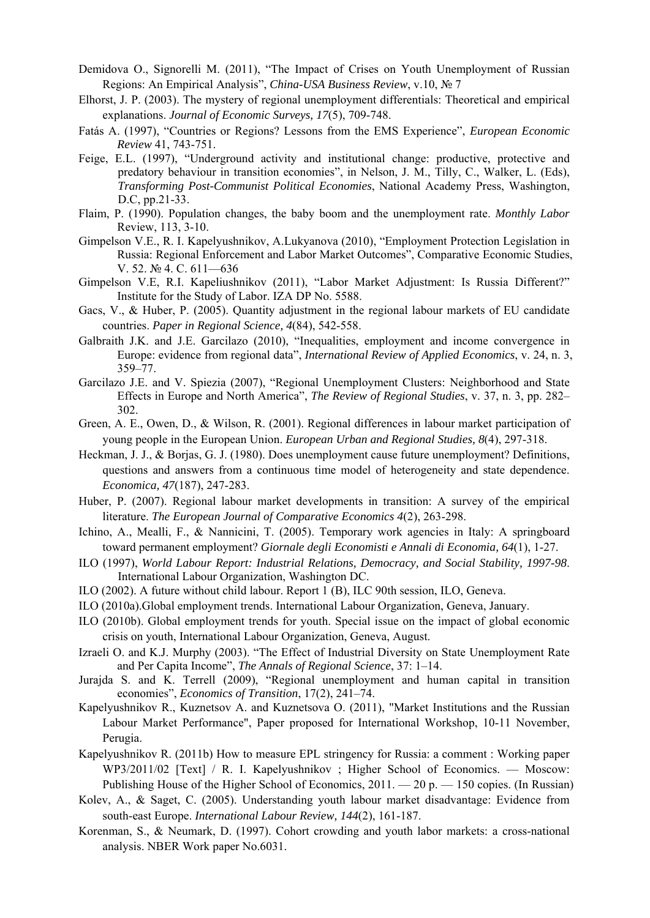- Demidova O., Signorelli M. (2011), "The Impact of Crises on Youth Unemployment of Russian Regions: An Empirical Analysis", *China-USA Business Review*, v.10, № 7
- Elhorst, J. P. (2003). The mystery of regional unemployment differentials: Theoretical and empirical explanations. *Journal of Economic Surveys, 17*(5), 709-748.
- Fatás A. (1997), "Countries or Regions? Lessons from the EMS Experience", *European Economic Review* 41, 743-751.
- Feige, E.L. (1997), "Underground activity and institutional change: productive, protective and predatory behaviour in transition economies", in Nelson, J. M., Tilly, C., Walker, L. (Eds), *Transforming Post-Communist Political Economies*, National Academy Press, Washington, D.C, pp.21-33.
- Flaim, P. (1990). Population changes, the baby boom and the unemployment rate. *Monthly Labor*  Review, 113, 3-10.
- Gimpelson V.E., R. I. Kapelyushnikov, A.Lukyanova (2010), "Employment Protection Legislation in Russia: Regional Enforcement and Labor Market Outcomes", Comparative Economic Studies, V. 52. № 4. C. 611—636
- Gimpelson V.E, R.I. Kapeliushnikov (2011), "Labor Market Adjustment: Is Russia Different?" Institute for the Study of Labor. IZA DP No. 5588.
- Gacs, V., & Huber, P. (2005). Quantity adjustment in the regional labour markets of EU candidate countries. *Paper in Regional Science, 4*(84), 542-558.
- Galbraith J.K. and J.E. Garcilazo (2010), "Inequalities, employment and income convergence in Europe: evidence from regional data", *International Review of Applied Economics*, v. 24, n. 3, 359–77.
- Garcilazo J.E. and V. Spiezia (2007), "Regional Unemployment Clusters: Neighborhood and State Effects in Europe and North America", *The Review of Regional Studies*, v. 37, n. 3, pp. 282– 302.
- Green, A. E., Owen, D., & Wilson, R. (2001). Regional differences in labour market participation of young people in the European Union. *European Urban and Regional Studies, 8*(4), 297-318.
- Heckman, J. J., & Borjas, G. J. (1980). Does unemployment cause future unemployment? Definitions, questions and answers from a continuous time model of heterogeneity and state dependence. *Economica, 47*(187), 247-283.
- Huber, P. (2007). Regional labour market developments in transition: A survey of the empirical literature. *The European Journal of Comparative Economics 4*(2), 263-298.
- Ichino, A., Mealli, F., & Nannicini, T. (2005). Temporary work agencies in Italy: A springboard toward permanent employment? *Giornale degli Economisti e Annali di Economia, 64*(1), 1-27.
- ILO (1997), *World Labour Report: Industrial Relations, Democracy, and Social Stability, 1997-98*. International Labour Organization, Washington DC.
- ILO (2002). A future without child labour. Report 1 (B), ILC 90th session, ILO, Geneva.
- ILO (2010a).Global employment trends. International Labour Organization, Geneva, January.
- ILO (2010b). Global employment trends for youth. Special issue on the impact of global economic crisis on youth, International Labour Organization, Geneva, August.
- Izraeli O. and K.J. Murphy (2003). "The Effect of Industrial Diversity on State Unemployment Rate and Per Capita Income", *The Annals of Regional Science*, 37: 1–14.
- Jurajda S. and K. Terrell (2009), "Regional unemployment and human capital in transition economies", *Economics of Transition*, 17(2), 241–74.
- Kapelyushnikov R., Kuznetsov A. and Kuznetsova O. (2011), "Market Institutions and the Russian Labour Market Performance", Paper proposed for International Workshop, 10-11 November, Perugia.
- Kapelyushnikov R. (2011b) How to measure EPL stringency for Russia: a comment : Working paper WP3/2011/02 [Text] / R. I. Kapelyushnikov ; Higher School of Economics. — Moscow: Publishing House of the Higher School of Economics, 2011. — 20 p. — 150 copies. (In Russian)
- Kolev, A., & Saget, C. (2005). Understanding youth labour market disadvantage: Evidence from south-east Europe. *International Labour Review, 144*(2), 161-187.
- Korenman, S., & Neumark, D. (1997). Cohort crowding and youth labor markets: a cross-national analysis. NBER Work paper No.6031.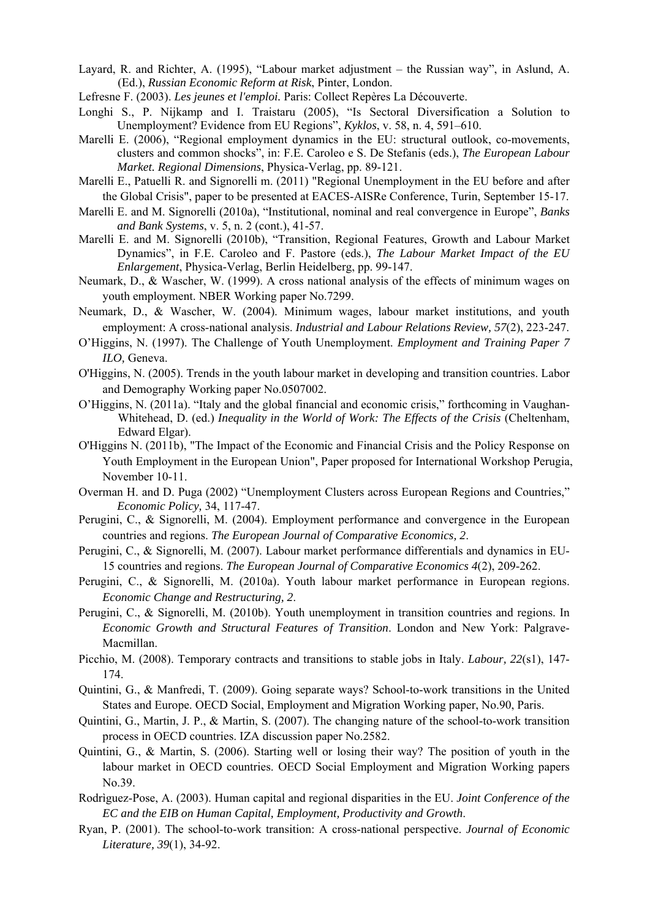Layard, R. and Richter, A. (1995), "Labour market adjustment – the Russian way", in Aslund, A. (Ed.), *Russian Economic Reform at Risk*, Pinter, London.

Lefresne F. (2003). *Les jeunes et l'emploi.* Paris: Collect Repères La Découverte.

- Longhi S., P. Nijkamp and I. Traistaru (2005), "Is Sectoral Diversification a Solution to Unemployment? Evidence from EU Regions", *Kyklos*, v. 58, n. 4, 591–610.
- Marelli E. (2006), "Regional employment dynamics in the EU: structural outlook, co-movements, clusters and common shocks", in: F.E. Caroleo e S. De Stefanis (eds.), *The European Labour Market. Regional Dimensions*, Physica-Verlag, pp. 89-121.
- Marelli E., Patuelli R. and Signorelli m. (2011) "Regional Unemployment in the EU before and after the Global Crisis", paper to be presented at EACES-AISRe Conference, Turin, September 15-17.
- Marelli E. and M. Signorelli (2010a), "Institutional, nominal and real convergence in Europe", *Banks and Bank Systems*, v. 5, n. 2 (cont.), 41-57.
- Marelli E. and M. Signorelli (2010b), "Transition, Regional Features, Growth and Labour Market Dynamics", in F.E. Caroleo and F. Pastore (eds.), *The Labour Market Impact of the EU Enlargement*, Physica-Verlag, Berlin Heidelberg, pp. 99-147.
- Neumark, D., & Wascher, W. (1999). A cross national analysis of the effects of minimum wages on youth employment. NBER Working paper No.7299.
- Neumark, D., & Wascher, W. (2004). Minimum wages, labour market institutions, and youth employment: A cross-national analysis. *Industrial and Labour Relations Review, 57*(2), 223-247.
- O'Higgins, N. (1997). The Challenge of Youth Unemployment. *Employment and Training Paper 7 ILO,* Geneva.
- O'Higgins, N. (2005). Trends in the youth labour market in developing and transition countries. Labor and Demography Working paper No.0507002.
- O'Higgins, N. (2011a). "Italy and the global financial and economic crisis," forthcoming in Vaughan-Whitehead, D. (ed.) *Inequality in the World of Work: The Effects of the Crisis* (Cheltenham, Edward Elgar).
- O'Higgins N. (2011b), "The Impact of the Economic and Financial Crisis and the Policy Response on Youth Employment in the European Union", Paper proposed for International Workshop Perugia, November 10-11.
- Overman H. and D. Puga (2002) "Unemployment Clusters across European Regions and Countries," *Economic Policy,* 34, 117-47.
- Perugini, C., & Signorelli, M. (2004). Employment performance and convergence in the European countries and regions. *The European Journal of Comparative Economics, 2*.
- Perugini, C., & Signorelli, M. (2007). Labour market performance differentials and dynamics in EU-15 countries and regions. *The European Journal of Comparative Economics 4*(2), 209-262.
- Perugini, C., & Signorelli, M. (2010a). Youth labour market performance in European regions. *Economic Change and Restructuring, 2*.
- Perugini, C., & Signorelli, M. (2010b). Youth unemployment in transition countries and regions. In *Economic Growth and Structural Features of Transition*. London and New York: Palgrave-Macmillan.
- Picchio, M. (2008). Temporary contracts and transitions to stable jobs in Italy. *Labour, 22*(s1), 147- 174.
- Quintini, G., & Manfredi, T. (2009). Going separate ways? School-to-work transitions in the United States and Europe. OECD Social, Employment and Migration Working paper, No.90, Paris.
- Quintini, G., Martin, J. P., & Martin, S. (2007). The changing nature of the school-to-work transition process in OECD countries. IZA discussion paper No.2582.
- Quintini, G., & Martin, S. (2006). Starting well or losing their way? The position of youth in the labour market in OECD countries. OECD Social Employment and Migration Working papers No.39.
- Rodrìguez-Pose, A. (2003). Human capital and regional disparities in the EU. *Joint Conference of the EC and the EIB on Human Capital, Employment, Productivity and Growth*.
- Ryan, P. (2001). The school-to-work transition: A cross-national perspective. *Journal of Economic Literature, 39*(1), 34-92.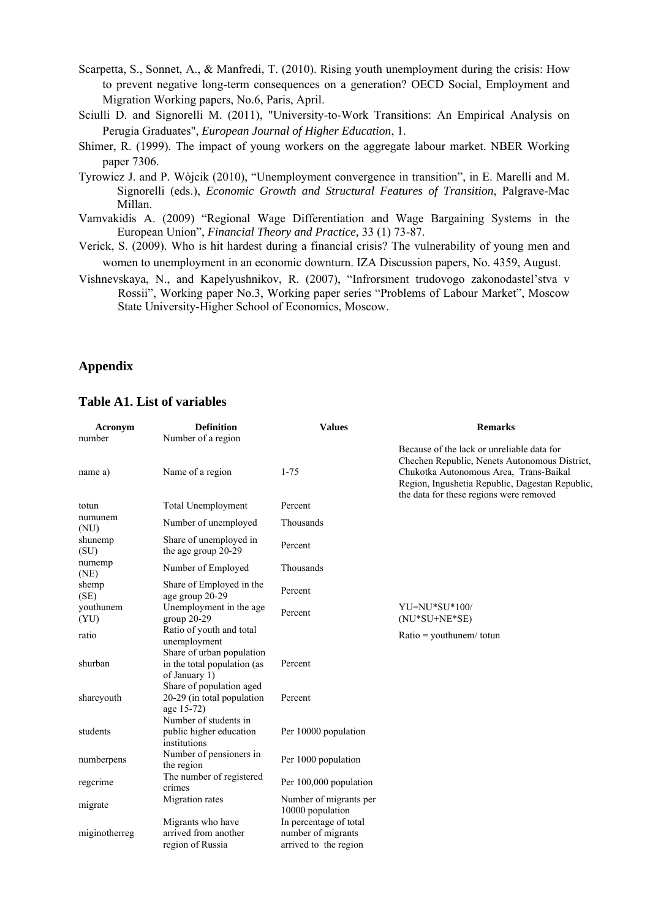Scarpetta, S., Sonnet, A., & Manfredi, T. (2010). Rising youth unemployment during the crisis: How to prevent negative long-term consequences on a generation? OECD Social, Employment and Migration Working papers, No.6, Paris, April.

- Sciulli D. and Signorelli M. (2011), "University-to-Work Transitions: An Empirical Analysis on Perugia Graduates", *European Journal of Higher Education*, 1.
- Shimer, R. (1999). The impact of young workers on the aggregate labour market. NBER Working paper 7306.
- Tyrowicz J. and P. Wòjcik (2010), "Unemployment convergence in transition", in E. Marelli and M. Signorelli (eds.), *Economic Growth and Structural Features of Transition*, Palgrave-Mac Millan.
- Vamvakidis A. (2009) "Regional Wage Differentiation and Wage Bargaining Systems in the European Union", *Financial Theory and Practice,* 33 (1) 73-87.
- Verick, S. (2009). Who is hit hardest during a financial crisis? The vulnerability of young men and women to unemployment in an economic downturn. IZA Discussion papers, No. 4359, August.
- Vishnevskaya, N., and Kapelyushnikov, R. (2007), "Infrorsment trudovogo zakonodastel'stva v Rossii", Working paper No.3, Working paper series "Problems of Labour Market", Moscow State University-Higher School of Economics, Moscow.

## **Appendix**

## **Table A1. List of variables**

| Acronym           | <b>Definition</b>                                                         | <b>Values</b>                                                         | <b>Remarks</b>                                                                                                                                                                                                                      |
|-------------------|---------------------------------------------------------------------------|-----------------------------------------------------------------------|-------------------------------------------------------------------------------------------------------------------------------------------------------------------------------------------------------------------------------------|
| number            | Number of a region                                                        |                                                                       |                                                                                                                                                                                                                                     |
| name a)           | Name of a region                                                          | $1 - 75$                                                              | Because of the lack or unreliable data for<br>Chechen Republic, Nenets Autonomous District,<br>Chukotka Autonomous Area, Trans-Baikal<br>Region, Ingushetia Republic, Dagestan Republic,<br>the data for these regions were removed |
| totun             | <b>Total Unemployment</b>                                                 | Percent                                                               |                                                                                                                                                                                                                                     |
| numunem<br>(NU)   | Number of unemployed                                                      | Thousands                                                             |                                                                                                                                                                                                                                     |
| shunemp<br>(SU)   | Share of unemployed in<br>the age group 20-29                             | Percent                                                               |                                                                                                                                                                                                                                     |
| numemp<br>(NE)    | Number of Employed                                                        | Thousands                                                             |                                                                                                                                                                                                                                     |
| shemp<br>(SE)     | Share of Employed in the<br>age group 20-29                               | Percent                                                               |                                                                                                                                                                                                                                     |
| youthunem<br>(YU) | Unemployment in the age<br>group 20-29                                    | Percent                                                               | $YU=NU*SU*100/$<br>$(NU*SU+NE*SE)$                                                                                                                                                                                                  |
| ratio             | Ratio of youth and total<br>unemployment                                  |                                                                       | $Ratio =$ youthunem/totun                                                                                                                                                                                                           |
| shurban           | Share of urban population<br>in the total population (as<br>of January 1) | Percent                                                               |                                                                                                                                                                                                                                     |
| shareyouth        | Share of population aged<br>20-29 (in total population<br>age 15-72)      | Percent                                                               |                                                                                                                                                                                                                                     |
| students          | Number of students in<br>public higher education<br>institutions          | Per 10000 population                                                  |                                                                                                                                                                                                                                     |
| numberpens        | Number of pensioners in<br>the region                                     | Per 1000 population                                                   |                                                                                                                                                                                                                                     |
| regcrime          | The number of registered<br>crimes                                        | Per 100,000 population                                                |                                                                                                                                                                                                                                     |
| migrate           | Migration rates                                                           | Number of migrants per<br>10000 population                            |                                                                                                                                                                                                                                     |
| miginotherreg     | Migrants who have<br>arrived from another<br>region of Russia             | In percentage of total<br>number of migrants<br>arrived to the region |                                                                                                                                                                                                                                     |